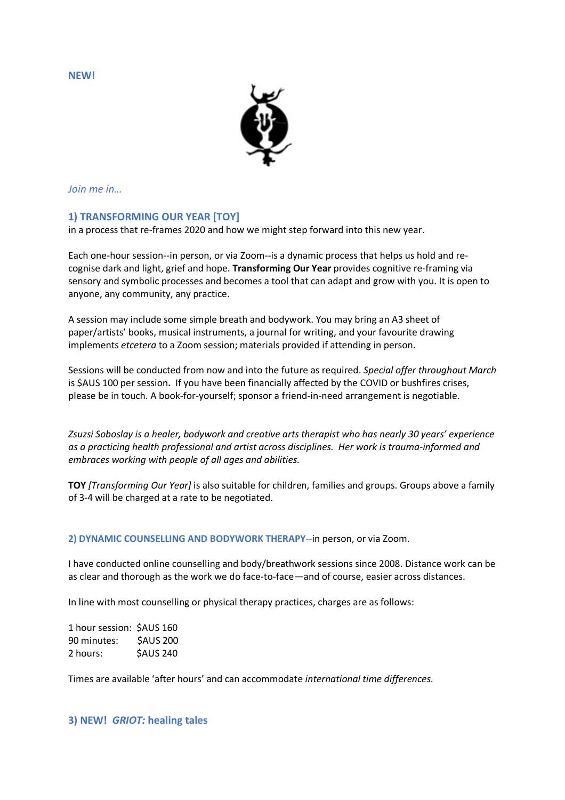**NEW!**



*Join me in…*

## **1) TRANSFORMING OUR YEAR [TOY]**

in a process that re-frames 2020 and how we might step forward into this new year.

Each one-hour session--in person, or via Zoom--is a dynamic process that helps us hold and recognise dark and light, grief and hope. **Transforming Our Year** provides cognitive re-framing via sensory and symbolic processes and becomes a tool that can adapt and grow with you. It is open to anyone, any community, any practice.

A session may include some simple breath and bodywork. You may bring an A3 sheet of paper/artists' books, musical instruments, a journal for writing, and your favourite drawing implements *etcetera* to a Zoom session; materials provided if attending in person.

Sessions will be conducted from now and into the future as required. *Special offer throughout March* is \$AUS 100 per session**.** If you have been financially affected by the COVID or bushfires crises, please be in touch. A book-for-yourself; sponsor a friend-in-need arrangement is negotiable.

*Zsuzsi Soboslay is a healer, bodywork and creative arts therapist who has nearly 30 years' experience as a practicing health professional and artist across disciplines. Her work is trauma-informed and embraces working with people of all ages and abilities.*

**TOY** *[Transforming Our Year]* is also suitable for children, families and groups. Groups above a family of 3-4 will be charged at a rate to be negotiated.

**2) DYNAMIC COUNSELLING AND BODYWORK THERAPY***--*in person, or via Zoom.

I have conducted online counselling and body/breathwork sessions since 2008. Distance work can be as clear and thorough as the work we do face-to-face—and of course, easier across distances.

In line with most counselling or physical therapy practices, charges are as follows:

1 hour session: \$AUS 160 90 minutes: \$AUS 200 2 hours: \$AUS 240

Times are available 'after hours' and can accommodate *international time differences*.

## **3) NEW!** *GRIOT:* **healing tales**